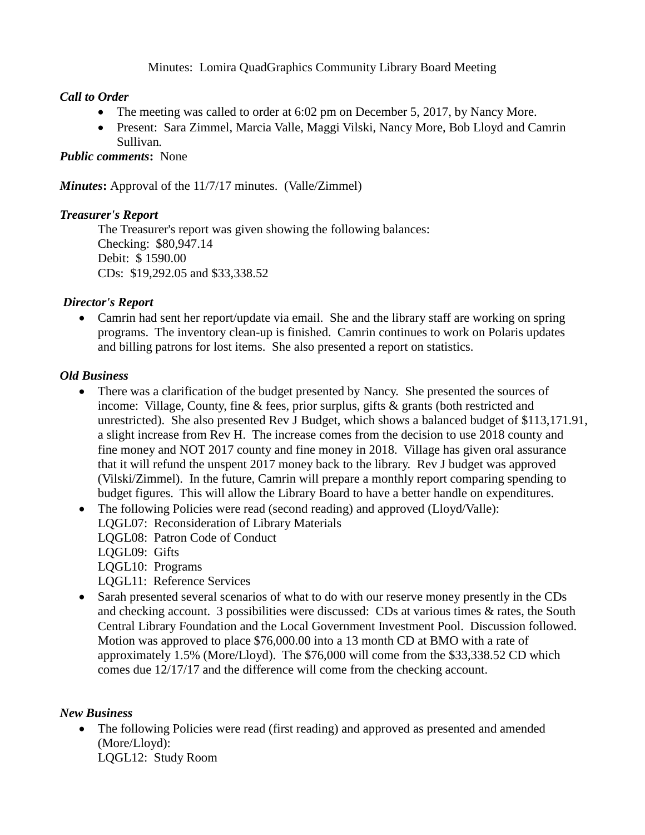# Minutes: Lomira QuadGraphics Community Library Board Meeting

# *Call to Order*

- The meeting was called to order at 6:02 pm on December 5, 2017, by Nancy More.
- Present: Sara Zimmel, Marcia Valle, Maggi Vilski, Nancy More, Bob Lloyd and Camrin Sullivan*.*

## *Public comments***:** None

*Minutes*: Approval of the 11/7/17 minutes. (Valle/Zimmel)

#### *Treasurer's Report*

The Treasurer's report was given showing the following balances: Checking: \$80,947.14 Debit: \$ 1590.00 CDs: \$19,292.05 and \$33,338.52

# *Director's Report*

• Camrin had sent her report/update via email. She and the library staff are working on spring programs. The inventory clean-up is finished. Camrin continues to work on Polaris updates and billing patrons for lost items. She also presented a report on statistics.

# *Old Business*

- There was a clarification of the budget presented by Nancy. She presented the sources of income: Village, County, fine & fees, prior surplus, gifts & grants (both restricted and unrestricted). She also presented Rev J Budget, which shows a balanced budget of \$113,171.91, a slight increase from Rev H. The increase comes from the decision to use 2018 county and fine money and NOT 2017 county and fine money in 2018. Village has given oral assurance that it will refund the unspent 2017 money back to the library. Rev J budget was approved (Vilski/Zimmel). In the future, Camrin will prepare a monthly report comparing spending to budget figures. This will allow the Library Board to have a better handle on expenditures.
- The following Policies were read (second reading) and approved (Lloyd/Valle): LQGL07: Reconsideration of Library Materials LQGL08: Patron Code of Conduct LQGL09: Gifts LQGL10: Programs LQGL11: Reference Services
- Sarah presented several scenarios of what to do with our reserve money presently in the CDs and checking account. 3 possibilities were discussed: CDs at various times & rates, the South Central Library Foundation and the Local Government Investment Pool. Discussion followed. Motion was approved to place \$76,000.00 into a 13 month CD at BMO with a rate of approximately 1.5% (More/Lloyd). The \$76,000 will come from the \$33,338.52 CD which comes due 12/17/17 and the difference will come from the checking account.

#### *New Business*

• The following Policies were read (first reading) and approved as presented and amended (More/Lloyd): LQGL12: Study Room